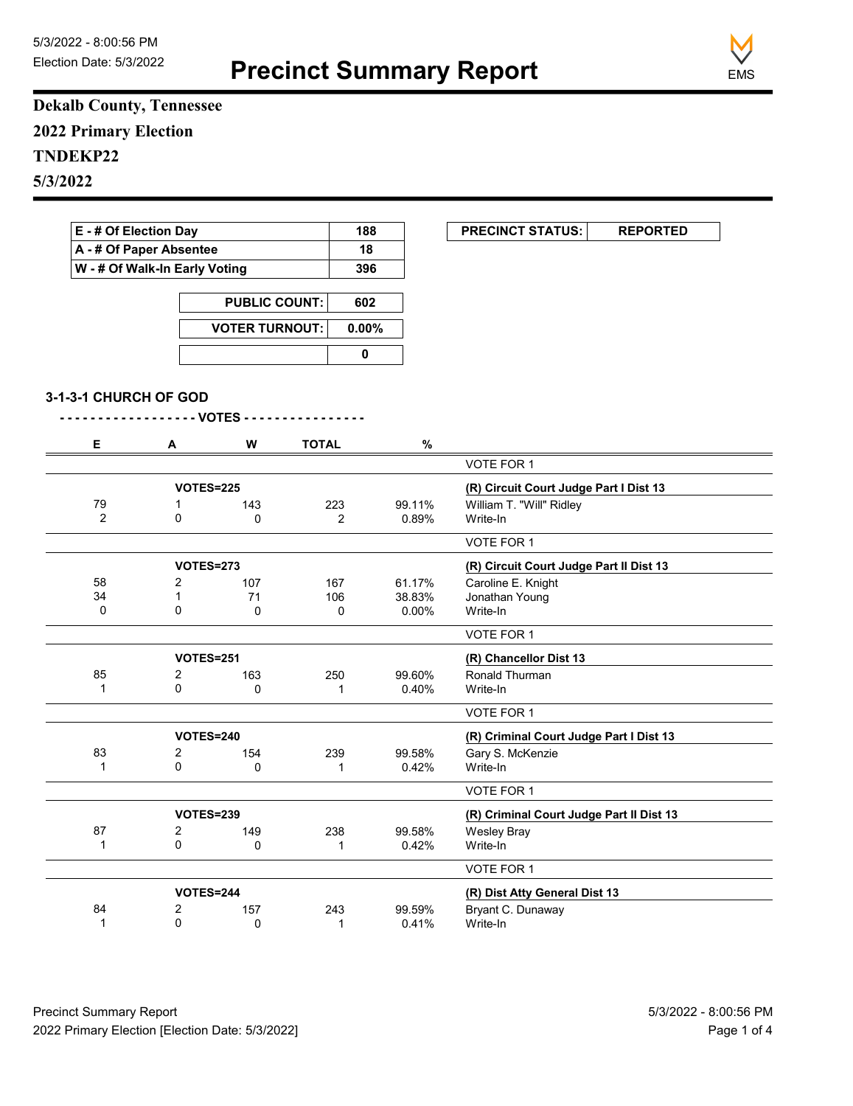

## **Dekalb County, Tennessee 2022 Primary Election TNDEKP22 5/3/2022**

| E - # Of Election Day<br>A - # Of Paper Absentee<br>W - # Of Walk-In Early Voting |                         |                       |                       | 188             | <b>PRECINCT STATUS:</b>                                       | <b>REPORTED</b> |
|-----------------------------------------------------------------------------------|-------------------------|-----------------------|-----------------------|-----------------|---------------------------------------------------------------|-----------------|
|                                                                                   |                         |                       |                       | 18              |                                                               |                 |
|                                                                                   |                         |                       |                       | 396             |                                                               |                 |
|                                                                                   |                         | <b>PUBLIC COUNT:</b>  | 602                   |                 |                                                               |                 |
|                                                                                   |                         | <b>VOTER TURNOUT:</b> |                       | 0.00%           |                                                               |                 |
|                                                                                   |                         |                       | $\mathbf 0$           |                 |                                                               |                 |
| 3-1-3-1 CHURCH OF GOD<br>--- VOTES --------                                       |                         |                       |                       |                 |                                                               |                 |
| Е                                                                                 | A                       | W                     | <b>TOTAL</b>          | %               |                                                               |                 |
|                                                                                   |                         |                       |                       |                 | VOTE FOR 1                                                    |                 |
| <b>VOTES=225</b>                                                                  |                         |                       |                       |                 | (R) Circuit Court Judge Part I Dist 13                        |                 |
| 79<br>$\overline{2}$                                                              | 1<br>0                  | 143<br>0              | 223<br>$\overline{2}$ | 99.11%<br>0.89% | William T. "Will" Ridley<br>Write-In                          |                 |
|                                                                                   |                         |                       |                       |                 | VOTE FOR 1                                                    |                 |
|                                                                                   |                         | <b>VOTES=273</b>      |                       |                 |                                                               |                 |
| 58                                                                                | 2                       | 107                   | 167                   | 61.17%          | (R) Circuit Court Judge Part II Dist 13<br>Caroline E. Knight |                 |
| 34                                                                                | 1                       | 71                    | 106                   | 38.83%          | Jonathan Young                                                |                 |
| 0                                                                                 | 0                       | 0                     | 0                     | 0.00%           | Write-In                                                      |                 |
|                                                                                   |                         |                       |                       |                 | VOTE FOR 1                                                    |                 |
|                                                                                   |                         | <b>VOTES=251</b>      |                       |                 | (R) Chancellor Dist 13                                        |                 |
| 85                                                                                | $\overline{2}$          | 163                   | 250                   | 99.60%          | Ronald Thurman                                                |                 |
| 1                                                                                 | 0                       | 0                     | 1                     | 0.40%           | Write-In                                                      |                 |
|                                                                                   |                         |                       |                       |                 | VOTE FOR 1                                                    |                 |
| <b>VOTES=240</b>                                                                  |                         |                       |                       |                 | (R) Criminal Court Judge Part I Dist 13                       |                 |
| 83                                                                                | 2                       | 154                   | 239                   | 99.58%          | Gary S. McKenzie                                              |                 |
| 1                                                                                 | 0                       | 0                     | 1                     | 0.42%           | Write-In                                                      |                 |
|                                                                                   |                         |                       |                       |                 | VOTE FOR 1                                                    |                 |
| <b>VOTES=239</b>                                                                  |                         |                       |                       |                 | (R) Criminal Court Judge Part II Dist 13                      |                 |
| 87                                                                                | $\sqrt{2}$              | 149                   | 238                   | 99.58%          | <b>Wesley Bray</b>                                            |                 |
| $\mathbf{1}$                                                                      | 0                       | 0                     | 1                     | 0.42%           | Write-In                                                      |                 |
|                                                                                   |                         |                       |                       |                 | VOTE FOR 1                                                    |                 |
|                                                                                   |                         | <b>VOTES=244</b>      |                       |                 | (R) Dist Atty General Dist 13                                 |                 |
| 84                                                                                | $\overline{\mathbf{c}}$ | 157                   | 243                   | 99.59%          | Bryant C. Dunaway                                             |                 |
| $\mathbf{1}$                                                                      | 0                       | 0                     | $\mathbf{1}$          | 0.41%           | Write-In                                                      |                 |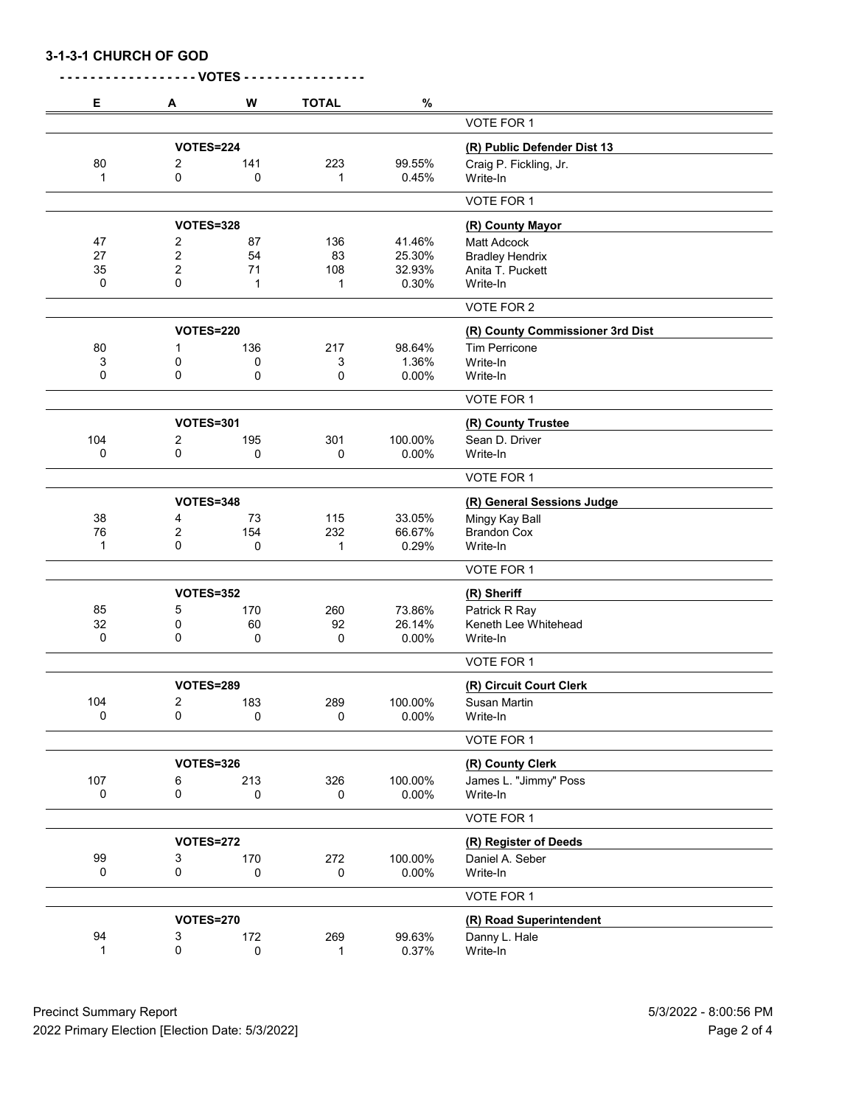| Е            | A                       | W            | <b>TOTAL</b> | $\%$             |                                  |
|--------------|-------------------------|--------------|--------------|------------------|----------------------------------|
|              |                         |              |              |                  | VOTE FOR 1                       |
|              | VOTES=224               |              |              |                  | (R) Public Defender Dist 13      |
| 80           | 2                       | 141          | 223          | 99.55%           | Craig P. Fickling, Jr.           |
| $\mathbf{1}$ | 0                       | 0            | 1            | 0.45%            | Write-In                         |
|              |                         |              |              |                  | VOTE FOR 1                       |
|              | VOTES=328               |              |              | (R) County Mayor |                                  |
| 47           | 2                       | 87           | 136          | 41.46%           | <b>Matt Adcock</b>               |
| 27           | $\overline{\mathbf{c}}$ | 54           | 83           | 25.30%           | <b>Bradley Hendrix</b>           |
| 35           | 2                       | 71           | 108          | 32.93%           | Anita T. Puckett                 |
| 0            | 0                       | $\mathbf{1}$ | 1            | 0.30%            | Write-In                         |
|              |                         |              |              |                  | VOTE FOR 2                       |
|              | <b>VOTES=220</b>        |              |              |                  | (R) County Commissioner 3rd Dist |
| 80           |                         | 136          | 217          | 98.64%           | <b>Tim Perricone</b>             |
| 3            | 0                       | 0            | 3            | 1.36%            | Write-In                         |
| 0            | 0                       | 0            | 0            | 0.00%            | Write-In                         |
|              |                         |              |              |                  | VOTE FOR 1                       |
|              | <b>VOTES=301</b>        |              |              |                  | (R) County Trustee               |
| 104          | 2                       | 195          | 301          | 100.00%          | Sean D. Driver                   |
| 0            | 0                       | 0            | 0            | 0.00%            | Write-In                         |
|              |                         |              |              |                  | VOTE FOR 1                       |
|              |                         | VOTES=348    |              |                  | (R) General Sessions Judge       |
| 38           | 4                       | 73           | 115          | 33.05%           | Mingy Kay Ball                   |
| 76           | $\overline{2}$          | 154          | 232          | 66.67%           | <b>Brandon Cox</b>               |
| $\mathbf{1}$ | 0                       | 0            | 1            | 0.29%            | Write-In                         |
|              |                         |              |              |                  | VOTE FOR 1                       |
|              | <b>VOTES=352</b>        |              |              |                  | (R) Sheriff                      |
| 85           | 5                       | 170          | 260          | 73.86%           | Patrick R Ray                    |
| 32           | 0                       | 60           | 92           | 26.14%           | Keneth Lee Whitehead             |
| 0            | 0                       | 0            | 0            | 0.00%            | Write-In                         |
|              |                         |              |              |                  | VOTE FOR 1                       |
|              | <b>VOTES=289</b>        |              |              |                  | (R) Circuit Court Clerk          |
| 104          | 2                       | 183          | 289          | 100.00%          | Susan Martin                     |
| 0            | 0                       | 0            | 0            | 0.00%            | Write-In                         |
|              |                         |              |              |                  | VOTE FOR 1                       |
|              | <b>VOTES=326</b>        |              |              |                  | (R) County Clerk                 |
| 107          | 6                       | 213          | 326          | 100.00%          | James L. "Jimmy" Poss            |
| 0            | 0                       | 0            | 0            | 0.00%            | Write-In                         |
|              |                         |              |              |                  | VOTE FOR 1                       |
|              | <b>VOTES=272</b>        |              |              |                  | (R) Register of Deeds            |
| 99           | 3                       | 170          | 272          | 100.00%          | Daniel A. Seber                  |
| 0            | 0                       | 0            | 0            | $0.00\%$         | Write-In                         |
|              |                         |              |              |                  | VOTE FOR 1                       |
|              | <b>VOTES=270</b>        |              |              |                  | (R) Road Superintendent          |
| 94           | 3                       | 172          | 269          | 99.63%           | Danny L. Hale                    |
| $\mathbf{1}$ | 0                       | 0            | 1            | 0.37%            | Write-In                         |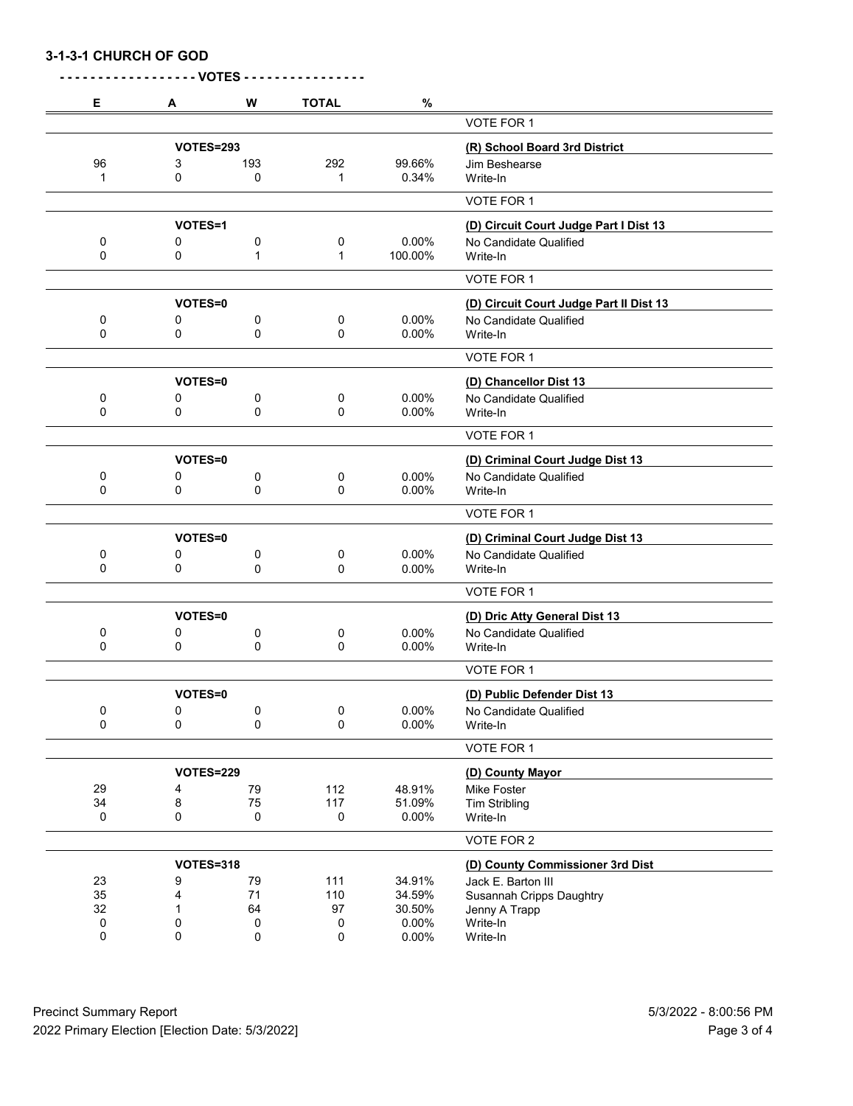**3-1-3-1 CHURCH OF GOD**

| Е         | Α                | W                | <b>TOTAL</b> | %                             |                                         |
|-----------|------------------|------------------|--------------|-------------------------------|-----------------------------------------|
|           |                  |                  |              |                               | VOTE FOR 1                              |
|           | <b>VOTES=293</b> |                  |              | (R) School Board 3rd District |                                         |
| 96        | 3                | 193              | 292          | 99.66%                        | Jim Beshearse                           |
| 1         | 0                | 0                | 1            | 0.34%                         | Write-In                                |
|           |                  |                  |              |                               | VOTE FOR 1                              |
|           | VOTES=1          |                  |              |                               | (D) Circuit Court Judge Part I Dist 13  |
| 0         | 0                | 0                | 0            | 0.00%                         | No Candidate Qualified                  |
| 0         | 0                | 1                | 1            | 100.00%                       | Write-In                                |
|           |                  |                  |              |                               | VOTE FOR 1                              |
|           | <b>VOTES=0</b>   |                  |              |                               | (D) Circuit Court Judge Part II Dist 13 |
| 0         | 0                | 0                | 0            | 0.00%                         | No Candidate Qualified                  |
| 0         | 0                | 0                | 0            | 0.00%                         | Write-In                                |
|           |                  |                  |              |                               | VOTE FOR 1                              |
|           |                  | <b>VOTES=0</b>   |              |                               | (D) Chancellor Dist 13                  |
| 0         | 0                | 0                | 0            | 0.00%                         | No Candidate Qualified                  |
| 0         | 0                | 0                | 0            | 0.00%                         | Write-In                                |
|           |                  |                  |              |                               | VOTE FOR 1                              |
|           | VOTES=0          |                  |              |                               | (D) Criminal Court Judge Dist 13        |
| 0         | 0                | 0                | 0            | 0.00%                         | No Candidate Qualified                  |
| 0         | 0                | 0                | 0            | 0.00%                         | Write-In                                |
|           |                  |                  |              |                               | VOTE FOR 1                              |
|           | <b>VOTES=0</b>   |                  |              |                               | (D) Criminal Court Judge Dist 13        |
| 0         | 0                | 0                | 0            | 0.00%                         | No Candidate Qualified                  |
| 0         | 0                | 0                | 0            | 0.00%                         | Write-In                                |
|           |                  |                  |              |                               | VOTE FOR 1                              |
|           | <b>VOTES=0</b>   |                  |              |                               | (D) Dric Atty General Dist 13           |
| 0         | 0                | 0                | 0            | 0.00%                         | No Candidate Qualified                  |
| 0         | 0                | 0                | 0            | 0.00%                         | Write-In                                |
|           |                  |                  |              |                               | VOTE FOR 1                              |
|           |                  | VOTES=0          |              |                               | (D) Public Defender Dist 13             |
| $\pmb{0}$ | $\pmb{0}$        | $\pmb{0}$        | 0            | 0.00%                         | No Candidate Qualified                  |
| 0         | 0                | 0                | 0            | $0.00\%$                      | Write-In                                |
|           |                  |                  |              |                               | VOTE FOR 1                              |
|           |                  | <b>VOTES=229</b> |              |                               | (D) County Mayor                        |
| 29        | 4                | 79               | 112          | 48.91%                        | <b>Mike Foster</b>                      |
| 34        | 8                | 75               | 117          | 51.09%                        | <b>Tim Stribling</b>                    |
| 0         | 0                | 0                | 0            | 0.00%                         | Write-In                                |
|           |                  |                  |              |                               | VOTE FOR 2                              |
|           | <b>VOTES=318</b> |                  |              |                               | (D) County Commissioner 3rd Dist        |
| 23        | 9                | 79               | 111          | 34.91%                        | Jack E. Barton III                      |
| 35        | 4                | 71               | 110          | 34.59%                        | Susannah Cripps Daughtry                |
| 32        | 1                | 64               | 97           | 30.50%                        | Jenny A Trapp                           |
| $\pmb{0}$ | 0                | 0                | 0            | $0.00\%$                      | Write-In                                |
| $\pmb{0}$ | 0                | 0                | 0            | 0.00%                         | Write-In                                |